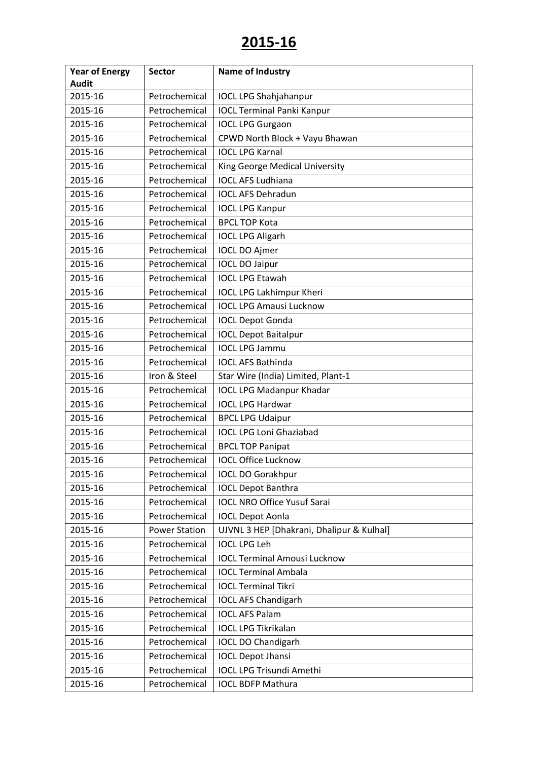| <b>Year of Energy</b> | <b>Sector</b>        | <b>Name of Industry</b>                   |
|-----------------------|----------------------|-------------------------------------------|
| <b>Audit</b>          |                      |                                           |
| 2015-16               | Petrochemical        | <b>IOCL LPG Shahjahanpur</b>              |
| 2015-16               | Petrochemical        | <b>IOCL Terminal Panki Kanpur</b>         |
| 2015-16               | Petrochemical        | <b>IOCL LPG Gurgaon</b>                   |
| 2015-16               | Petrochemical        | CPWD North Block + Vayu Bhawan            |
| 2015-16               | Petrochemical        | <b>IOCL LPG Karnal</b>                    |
| 2015-16               | Petrochemical        | King George Medical University            |
| 2015-16               | Petrochemical        | <b>IOCL AFS Ludhiana</b>                  |
| 2015-16               | Petrochemical        | <b>IOCL AFS Dehradun</b>                  |
| 2015-16               | Petrochemical        | <b>IOCL LPG Kanpur</b>                    |
| 2015-16               | Petrochemical        | <b>BPCL TOP Kota</b>                      |
| 2015-16               | Petrochemical        | <b>IOCL LPG Aligarh</b>                   |
| 2015-16               | Petrochemical        | <b>IOCL DO Ajmer</b>                      |
| 2015-16               | Petrochemical        | <b>IOCL DO Jaipur</b>                     |
| 2015-16               | Petrochemical        | <b>IOCL LPG Etawah</b>                    |
| 2015-16               | Petrochemical        | <b>IOCL LPG Lakhimpur Kheri</b>           |
| 2015-16               | Petrochemical        | <b>IOCL LPG Amausi Lucknow</b>            |
| 2015-16               | Petrochemical        | <b>IOCL Depot Gonda</b>                   |
| 2015-16               | Petrochemical        | <b>IOCL Depot Baitalpur</b>               |
| 2015-16               | Petrochemical        | <b>IOCL LPG Jammu</b>                     |
| 2015-16               | Petrochemical        | <b>IOCL AFS Bathinda</b>                  |
| 2015-16               | Iron & Steel         | Star Wire (India) Limited, Plant-1        |
| 2015-16               | Petrochemical        | <b>IOCL LPG Madanpur Khadar</b>           |
| 2015-16               | Petrochemical        | <b>IOCL LPG Hardwar</b>                   |
| 2015-16               | Petrochemical        | <b>BPCL LPG Udaipur</b>                   |
| 2015-16               | Petrochemical        | <b>IOCL LPG Loni Ghaziabad</b>            |
| 2015-16               | Petrochemical        | <b>BPCL TOP Panipat</b>                   |
| 2015-16               | Petrochemical        | <b>IOCL Office Lucknow</b>                |
| 2015-16               | Petrochemical        | <b>IOCL DO Gorakhpur</b>                  |
| 2015-16               | Petrochemical        | <b>IOCL Depot Banthra</b>                 |
| 2015-16               | Petrochemical        | <b>IOCL NRO Office Yusuf Sarai</b>        |
| 2015-16               | Petrochemical        | <b>IOCL Depot Aonla</b>                   |
| 2015-16               | <b>Power Station</b> | UJVNL 3 HEP [Dhakrani, Dhalipur & Kulhal] |
| 2015-16               | Petrochemical        | <b>IOCL LPG Leh</b>                       |
| 2015-16               | Petrochemical        | <b>IOCL Terminal Amousi Lucknow</b>       |
| 2015-16               | Petrochemical        | <b>IOCL Terminal Ambala</b>               |
| 2015-16               | Petrochemical        | <b>IOCL Terminal Tikri</b>                |
| 2015-16               | Petrochemical        | <b>IOCL AFS Chandigarh</b>                |
| 2015-16               | Petrochemical        | <b>IOCL AFS Palam</b>                     |
| 2015-16               | Petrochemical        | <b>IOCL LPG Tikrikalan</b>                |
| 2015-16               | Petrochemical        | <b>IOCL DO Chandigarh</b>                 |
| 2015-16               | Petrochemical        | <b>IOCL Depot Jhansi</b>                  |
| 2015-16               | Petrochemical        | <b>IOCL LPG Trisundi Amethi</b>           |
| 2015-16               | Petrochemical        | <b>IOCL BDFP Mathura</b>                  |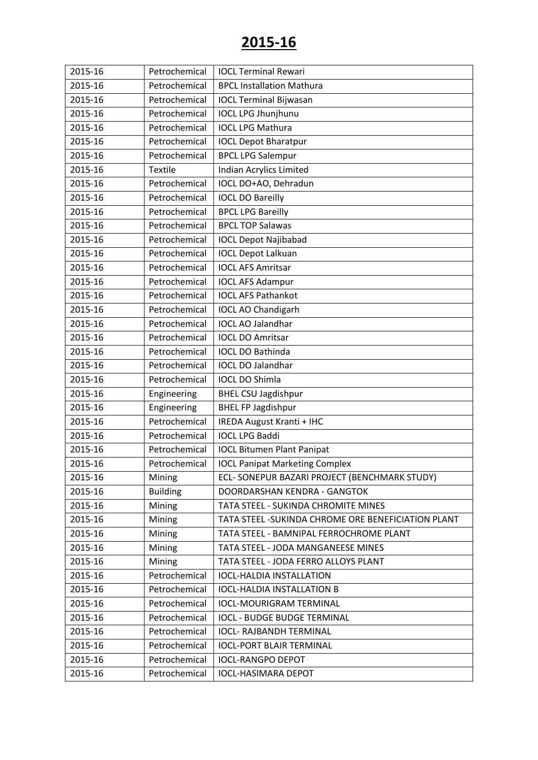| 2015-16 | Petrochemical   | <b>IOCL Terminal Rewari</b>                       |
|---------|-----------------|---------------------------------------------------|
| 2015-16 | Petrochemical   | <b>BPCL Installation Mathura</b>                  |
| 2015-16 | Petrochemical   | <b>IOCL Terminal Bijwasan</b>                     |
| 2015-16 | Petrochemical   | <b>IOCL LPG Jhunjhunu</b>                         |
| 2015-16 | Petrochemical   | <b>IOCL LPG Mathura</b>                           |
| 2015-16 | Petrochemical   | <b>IOCL Depot Bharatpur</b>                       |
| 2015-16 | Petrochemical   | <b>BPCL LPG Salempur</b>                          |
| 2015-16 | <b>Textile</b>  | <b>Indian Acrylics Limited</b>                    |
| 2015-16 | Petrochemical   | IOCL DO+AO, Dehradun                              |
| 2015-16 | Petrochemical   | <b>IOCL DO Bareilly</b>                           |
| 2015-16 | Petrochemical   | <b>BPCL LPG Bareilly</b>                          |
| 2015-16 | Petrochemical   | <b>BPCL TOP Salawas</b>                           |
| 2015-16 | Petrochemical   | <b>IOCL Depot Najibabad</b>                       |
| 2015-16 | Petrochemical   | <b>IOCL Depot Lalkuan</b>                         |
| 2015-16 | Petrochemical   | <b>IOCL AFS Amritsar</b>                          |
| 2015-16 | Petrochemical   | <b>IOCL AFS Adampur</b>                           |
| 2015-16 | Petrochemical   | <b>IOCL AFS Pathankot</b>                         |
| 2015-16 | Petrochemical   | <b>IOCL AO Chandigarh</b>                         |
| 2015-16 | Petrochemical   | <b>IOCL AO Jalandhar</b>                          |
| 2015-16 | Petrochemical   | <b>IOCL DO Amritsar</b>                           |
| 2015-16 | Petrochemical   | <b>IOCL DO Bathinda</b>                           |
| 2015-16 | Petrochemical   | <b>IOCL DO Jalandhar</b>                          |
| 2015-16 | Petrochemical   | <b>IOCL DO Shimla</b>                             |
| 2015-16 | Engineering     | <b>BHEL CSU Jagdishpur</b>                        |
| 2015-16 | Engineering     | <b>BHEL FP Jagdishpur</b>                         |
| 2015-16 | Petrochemical   | <b>IREDA August Kranti + IHC</b>                  |
| 2015-16 | Petrochemical   | <b>IOCL LPG Baddi</b>                             |
| 2015-16 | Petrochemical   | <b>IOCL Bitumen Plant Panipat</b>                 |
| 2015-16 | Petrochemical   | <b>IOCL Panipat Marketing Complex</b>             |
| 2015-16 | Mining          | ECL- SONEPUR BAZARI PROJECT (BENCHMARK STUDY)     |
| 2015-16 | <b>Building</b> | DOORDARSHAN KENDRA - GANGTOK                      |
| 2015-16 | Mining          | TATA STEEL - SUKINDA CHROMITE MINES               |
| 2015-16 | Mining          | TATA STEEL-SUKINDA CHROME ORE BENEFICIATION PLANT |
| 2015-16 | Mining          | TATA STEEL - BAMNIPAL FERROCHROME PLANT           |
| 2015-16 | Mining          | TATA STEEL - JODA MANGANEESE MINES                |
| 2015-16 | Mining          | TATA STEEL - JODA FERRO ALLOYS PLANT              |
| 2015-16 | Petrochemical   | <b>IOCL-HALDIA INSTALLATION</b>                   |
| 2015-16 | Petrochemical   | <b>IOCL-HALDIA INSTALLATION B</b>                 |
| 2015-16 | Petrochemical   | <b>IOCL-MOURIGRAM TERMINAL</b>                    |
| 2015-16 | Petrochemical   | <b>IOCL - BUDGE BUDGE TERMINAL</b>                |
| 2015-16 | Petrochemical   | <b>IOCL- RAJBANDH TERMINAL</b>                    |
| 2015-16 | Petrochemical   | <b>IOCL-PORT BLAIR TERMINAL</b>                   |
| 2015-16 | Petrochemical   | <b>IOCL-RANGPO DEPOT</b>                          |
| 2015-16 | Petrochemical   | <b>IOCL-HASIMARA DEPOT</b>                        |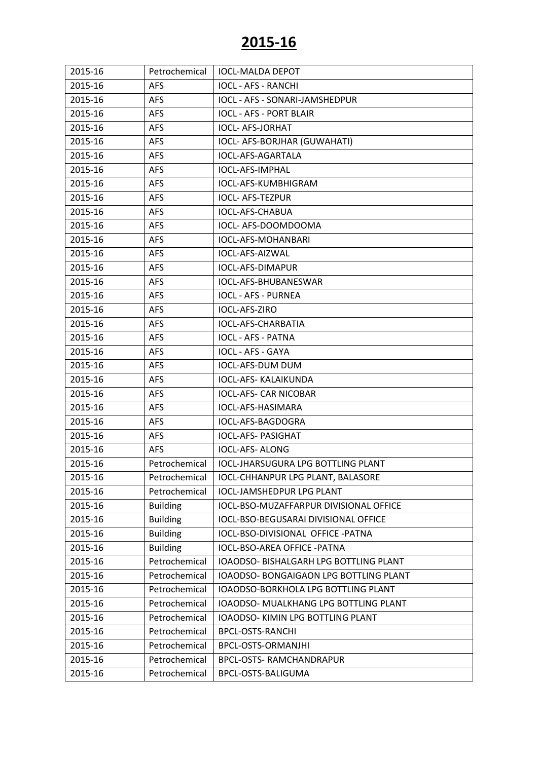| 2015-16 | Petrochemical   | <b>IOCL-MALDA DEPOT</b>                |
|---------|-----------------|----------------------------------------|
| 2015-16 | <b>AFS</b>      | <b>IOCL - AFS - RANCHI</b>             |
| 2015-16 | <b>AFS</b>      | IOCL - AFS - SONARI-JAMSHEDPUR         |
| 2015-16 | AFS             | <b>IOCL - AFS - PORT BLAIR</b>         |
| 2015-16 | <b>AFS</b>      | <b>IOCL- AFS-JORHAT</b>                |
| 2015-16 | <b>AFS</b>      | IOCL- AFS-BORJHAR (GUWAHATI)           |
| 2015-16 | <b>AFS</b>      | <b>IOCL-AFS-AGARTALA</b>               |
| 2015-16 | <b>AFS</b>      | <b>IOCL-AFS-IMPHAL</b>                 |
| 2015-16 | AFS             | IOCL-AFS-KUMBHIGRAM                    |
| 2015-16 | AFS             | <b>IOCL- AFS-TEZPUR</b>                |
| 2015-16 | <b>AFS</b>      | IOCL-AFS-CHABUA                        |
| 2015-16 | <b>AFS</b>      | IOCL- AFS-DOOMDOOMA                    |
| 2015-16 | <b>AFS</b>      | IOCL-AFS-MOHANBARI                     |
| 2015-16 | <b>AFS</b>      | IOCL-AFS-AIZWAL                        |
| 2015-16 | <b>AFS</b>      | IOCL-AFS-DIMAPUR                       |
| 2015-16 | AFS             | IOCL-AFS-BHUBANESWAR                   |
| 2015-16 | <b>AFS</b>      | <b>IOCL - AFS - PURNEA</b>             |
| 2015-16 | <b>AFS</b>      | IOCL-AFS-ZIRO                          |
| 2015-16 | <b>AFS</b>      | <b>IOCL-AFS-CHARBATIA</b>              |
| 2015-16 | <b>AFS</b>      | <b>IOCL - AFS - PATNA</b>              |
| 2015-16 | <b>AFS</b>      | <b>IOCL - AFS - GAYA</b>               |
| 2015-16 | AFS             | IOCL-AFS-DUM DUM                       |
| 2015-16 | <b>AFS</b>      | IOCL-AFS- KALAIKUNDA                   |
| 2015-16 | <b>AFS</b>      | <b>IOCL-AFS- CAR NICOBAR</b>           |
| 2015-16 | <b>AFS</b>      | IOCL-AFS-HASIMARA                      |
| 2015-16 | <b>AFS</b>      | IOCL-AFS-BAGDOGRA                      |
| 2015-16 | <b>AFS</b>      | <b>IOCL-AFS- PASIGHAT</b>              |
| 2015-16 | <b>AFS</b>      | <b>IOCL-AFS-ALONG</b>                  |
| 2015-16 | Petrochemical   | IOCL-JHARSUGURA LPG BOTTLING PLANT     |
| 2015-16 | Petrochemical   | IOCL-CHHANPUR LPG PLANT, BALASORE      |
| 2015-16 | Petrochemical   | <b>IOCL-JAMSHEDPUR LPG PLANT</b>       |
| 2015-16 | <b>Building</b> | IOCL-BSO-MUZAFFARPUR DIVISIONAL OFFICE |
| 2015-16 | <b>Building</b> | IOCL-BSO-BEGUSARAI DIVISIONAL OFFICE   |
| 2015-16 | <b>Building</b> | IOCL-BSO-DIVISIONAL OFFICE - PATNA     |
| 2015-16 | <b>Building</b> | IOCL-BSO-AREA OFFICE - PATNA           |
| 2015-16 | Petrochemical   | IOAODSO- BISHALGARH LPG BOTTLING PLANT |
| 2015-16 | Petrochemical   | IOAODSO- BONGAIGAON LPG BOTTLING PLANT |
| 2015-16 | Petrochemical   | IOAODSO-BORKHOLA LPG BOTTLING PLANT    |
| 2015-16 | Petrochemical   | IOAODSO- MUALKHANG LPG BOTTLING PLANT  |
| 2015-16 | Petrochemical   | IOAODSO- KIMIN LPG BOTTLING PLANT      |
| 2015-16 | Petrochemical   | <b>BPCL-OSTS-RANCHI</b>                |
| 2015-16 | Petrochemical   | BPCL-OSTS-ORMANJHI                     |
| 2015-16 | Petrochemical   | <b>BPCL-OSTS- RAMCHANDRAPUR</b>        |
| 2015-16 | Petrochemical   | BPCL-OSTS-BALIGUMA                     |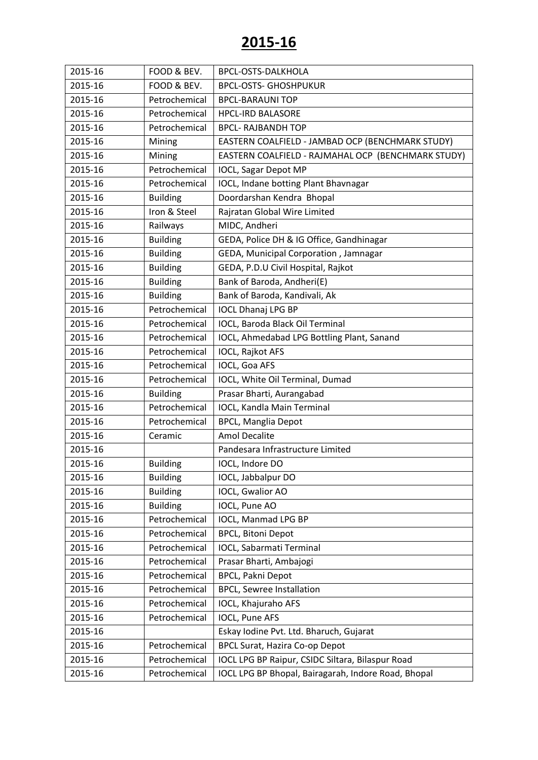| 2015-16 | FOOD & BEV.     | <b>BPCL-OSTS-DALKHOLA</b>                           |
|---------|-----------------|-----------------------------------------------------|
| 2015-16 | FOOD & BEV.     | <b>BPCL-OSTS- GHOSHPUKUR</b>                        |
| 2015-16 | Petrochemical   | <b>BPCL-BARAUNI TOP</b>                             |
| 2015-16 | Petrochemical   | <b>HPCL-IRD BALASORE</b>                            |
| 2015-16 | Petrochemical   | <b>BPCL- RAJBANDH TOP</b>                           |
| 2015-16 | Mining          | EASTERN COALFIELD - JAMBAD OCP (BENCHMARK STUDY)    |
| 2015-16 | Mining          | EASTERN COALFIELD - RAJMAHAL OCP (BENCHMARK STUDY)  |
| 2015-16 | Petrochemical   | <b>IOCL, Sagar Depot MP</b>                         |
| 2015-16 | Petrochemical   | IOCL, Indane botting Plant Bhavnagar                |
| 2015-16 | <b>Building</b> | Doordarshan Kendra Bhopal                           |
| 2015-16 | Iron & Steel    | Rajratan Global Wire Limited                        |
| 2015-16 | Railways        | MIDC, Andheri                                       |
| 2015-16 | <b>Building</b> | GEDA, Police DH & IG Office, Gandhinagar            |
| 2015-16 | <b>Building</b> | GEDA, Municipal Corporation, Jamnagar               |
| 2015-16 | <b>Building</b> | GEDA, P.D.U Civil Hospital, Rajkot                  |
| 2015-16 | <b>Building</b> | Bank of Baroda, Andheri(E)                          |
| 2015-16 | <b>Building</b> | Bank of Baroda, Kandivali, Ak                       |
| 2015-16 | Petrochemical   | <b>IOCL Dhanaj LPG BP</b>                           |
| 2015-16 | Petrochemical   | IOCL, Baroda Black Oil Terminal                     |
| 2015-16 | Petrochemical   | IOCL, Ahmedabad LPG Bottling Plant, Sanand          |
| 2015-16 | Petrochemical   | IOCL, Rajkot AFS                                    |
| 2015-16 | Petrochemical   | IOCL, Goa AFS                                       |
| 2015-16 | Petrochemical   | IOCL, White Oil Terminal, Dumad                     |
| 2015-16 | <b>Building</b> | Prasar Bharti, Aurangabad                           |
| 2015-16 | Petrochemical   | IOCL, Kandla Main Terminal                          |
| 2015-16 | Petrochemical   | <b>BPCL, Manglia Depot</b>                          |
| 2015-16 | Ceramic         | <b>Amol Decalite</b>                                |
| 2015-16 |                 | Pandesara Infrastructure Limited                    |
| 2015-16 | <b>Building</b> | IOCL, Indore DO                                     |
| 2015-16 | <b>Building</b> | IOCL, Jabbalpur DO                                  |
| 2015-16 | <b>Building</b> | IOCL, Gwalior AO                                    |
| 2015-16 | <b>Building</b> | IOCL, Pune AO                                       |
| 2015-16 | Petrochemical   | IOCL, Manmad LPG BP                                 |
| 2015-16 | Petrochemical   | <b>BPCL, Bitoni Depot</b>                           |
| 2015-16 | Petrochemical   | IOCL, Sabarmati Terminal                            |
| 2015-16 | Petrochemical   | Prasar Bharti, Ambajogi                             |
| 2015-16 | Petrochemical   | <b>BPCL, Pakni Depot</b>                            |
| 2015-16 | Petrochemical   | <b>BPCL, Sewree Installation</b>                    |
| 2015-16 | Petrochemical   | IOCL, Khajuraho AFS                                 |
| 2015-16 | Petrochemical   | <b>IOCL, Pune AFS</b>                               |
| 2015-16 |                 | Eskay Iodine Pvt. Ltd. Bharuch, Gujarat             |
| 2015-16 | Petrochemical   | BPCL Surat, Hazira Co-op Depot                      |
| 2015-16 | Petrochemical   | IOCL LPG BP Raipur, CSIDC Siltara, Bilaspur Road    |
| 2015-16 | Petrochemical   | IOCL LPG BP Bhopal, Bairagarah, Indore Road, Bhopal |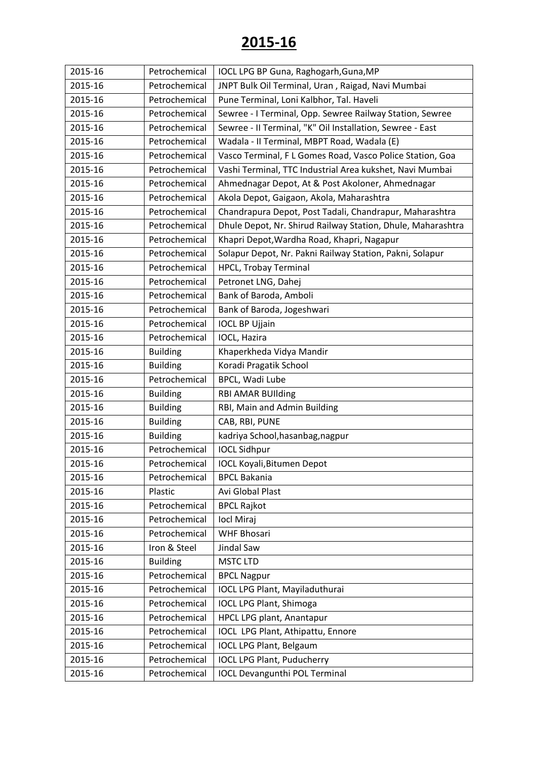| 2015-16 | Petrochemical   | IOCL LPG BP Guna, Raghogarh, Guna, MP                       |
|---------|-----------------|-------------------------------------------------------------|
| 2015-16 | Petrochemical   | JNPT Bulk Oil Terminal, Uran, Raigad, Navi Mumbai           |
| 2015-16 | Petrochemical   | Pune Terminal, Loni Kalbhor, Tal. Haveli                    |
| 2015-16 | Petrochemical   | Sewree - I Terminal, Opp. Sewree Railway Station, Sewree    |
| 2015-16 | Petrochemical   | Sewree - II Terminal, "K" Oil Installation, Sewree - East   |
| 2015-16 | Petrochemical   | Wadala - II Terminal, MBPT Road, Wadala (E)                 |
| 2015-16 | Petrochemical   | Vasco Terminal, F L Gomes Road, Vasco Police Station, Goa   |
| 2015-16 | Petrochemical   | Vashi Terminal, TTC Industrial Area kukshet, Navi Mumbai    |
| 2015-16 | Petrochemical   | Ahmednagar Depot, At & Post Akoloner, Ahmednagar            |
| 2015-16 | Petrochemical   | Akola Depot, Gaigaon, Akola, Maharashtra                    |
| 2015-16 | Petrochemical   | Chandrapura Depot, Post Tadali, Chandrapur, Maharashtra     |
| 2015-16 | Petrochemical   | Dhule Depot, Nr. Shirud Railway Station, Dhule, Maharashtra |
| 2015-16 | Petrochemical   | Khapri Depot, Wardha Road, Khapri, Nagapur                  |
| 2015-16 | Petrochemical   | Solapur Depot, Nr. Pakni Railway Station, Pakni, Solapur    |
| 2015-16 | Petrochemical   | <b>HPCL, Trobay Terminal</b>                                |
| 2015-16 | Petrochemical   | Petronet LNG, Dahej                                         |
| 2015-16 | Petrochemical   | Bank of Baroda, Amboli                                      |
| 2015-16 | Petrochemical   | Bank of Baroda, Jogeshwari                                  |
| 2015-16 | Petrochemical   | <b>IOCL BP Ujjain</b>                                       |
| 2015-16 | Petrochemical   | IOCL, Hazira                                                |
| 2015-16 | <b>Building</b> | Khaperkheda Vidya Mandir                                    |
| 2015-16 | <b>Building</b> | Koradi Pragatik School                                      |
| 2015-16 | Petrochemical   | BPCL, Wadi Lube                                             |
| 2015-16 | <b>Building</b> | <b>RBI AMAR BUIlding</b>                                    |
| 2015-16 | <b>Building</b> | RBI, Main and Admin Building                                |
| 2015-16 | <b>Building</b> | CAB, RBI, PUNE                                              |
| 2015-16 | <b>Building</b> | kadriya School, hasanbag, nagpur                            |
| 2015-16 | Petrochemical   | <b>IOCL Sidhpur</b>                                         |
| 2015-16 | Petrochemical   | <b>IOCL Koyali, Bitumen Depot</b>                           |
| 2015-16 | Petrochemical   | <b>BPCL Bakania</b>                                         |
| 2015-16 | Plastic         | Avi Global Plast                                            |
| 2015-16 | Petrochemical   | <b>BPCL Rajkot</b>                                          |
| 2015-16 | Petrochemical   | locl Miraj                                                  |
| 2015-16 | Petrochemical   | <b>WHF Bhosari</b>                                          |
| 2015-16 | Iron & Steel    | Jindal Saw                                                  |
| 2015-16 | <b>Building</b> | <b>MSTC LTD</b>                                             |
| 2015-16 | Petrochemical   | <b>BPCL Nagpur</b>                                          |
| 2015-16 | Petrochemical   | IOCL LPG Plant, Mayiladuthurai                              |
| 2015-16 | Petrochemical   | <b>IOCL LPG Plant, Shimoga</b>                              |
| 2015-16 | Petrochemical   | HPCL LPG plant, Anantapur                                   |
| 2015-16 | Petrochemical   | IOCL LPG Plant, Athipattu, Ennore                           |
| 2015-16 | Petrochemical   | <b>IOCL LPG Plant, Belgaum</b>                              |
| 2015-16 | Petrochemical   | <b>IOCL LPG Plant, Puducherry</b>                           |
| 2015-16 | Petrochemical   | <b>IOCL Devangunthi POL Terminal</b>                        |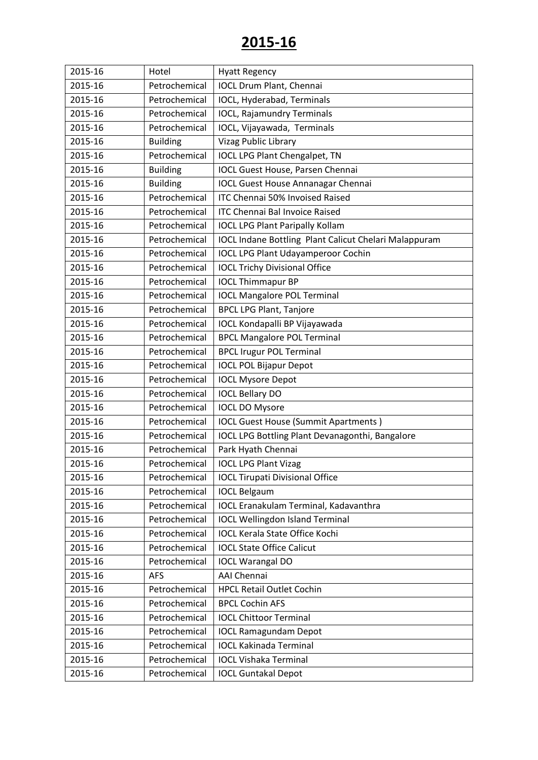| 2015-16 | Hotel           | <b>Hyatt Regency</b>                                         |
|---------|-----------------|--------------------------------------------------------------|
| 2015-16 | Petrochemical   | <b>IOCL Drum Plant, Chennai</b>                              |
| 2015-16 | Petrochemical   | IOCL, Hyderabad, Terminals                                   |
| 2015-16 | Petrochemical   | <b>IOCL, Rajamundry Terminals</b>                            |
| 2015-16 | Petrochemical   | IOCL, Vijayawada, Terminals                                  |
| 2015-16 | <b>Building</b> | Vizag Public Library                                         |
| 2015-16 | Petrochemical   | <b>IOCL LPG Plant Chengalpet, TN</b>                         |
| 2015-16 | <b>Building</b> | <b>IOCL Guest House, Parsen Chennai</b>                      |
| 2015-16 | <b>Building</b> | <b>IOCL Guest House Annanagar Chennai</b>                    |
| 2015-16 | Petrochemical   | ITC Chennai 50% Invoised Raised                              |
| 2015-16 | Petrochemical   | <b>ITC Chennai Bal Invoice Raised</b>                        |
| 2015-16 | Petrochemical   | <b>IOCL LPG Plant Paripally Kollam</b>                       |
| 2015-16 | Petrochemical   | <b>IOCL Indane Bottling Plant Calicut Chelari Malappuram</b> |
| 2015-16 | Petrochemical   | <b>IOCL LPG Plant Udayamperoor Cochin</b>                    |
| 2015-16 | Petrochemical   | <b>IOCL Trichy Divisional Office</b>                         |
| 2015-16 | Petrochemical   | <b>IOCL Thimmapur BP</b>                                     |
| 2015-16 | Petrochemical   | <b>IOCL Mangalore POL Terminal</b>                           |
| 2015-16 | Petrochemical   | <b>BPCL LPG Plant, Tanjore</b>                               |
| 2015-16 | Petrochemical   | IOCL Kondapalli BP Vijayawada                                |
| 2015-16 | Petrochemical   | <b>BPCL Mangalore POL Terminal</b>                           |
| 2015-16 | Petrochemical   | <b>BPCL Irugur POL Terminal</b>                              |
| 2015-16 | Petrochemical   | <b>IOCL POL Bijapur Depot</b>                                |
| 2015-16 | Petrochemical   | <b>IOCL Mysore Depot</b>                                     |
| 2015-16 | Petrochemical   | <b>IOCL Bellary DO</b>                                       |
| 2015-16 | Petrochemical   | <b>IOCL DO Mysore</b>                                        |
| 2015-16 | Petrochemical   | <b>IOCL Guest House (Summit Apartments)</b>                  |
| 2015-16 | Petrochemical   | IOCL LPG Bottling Plant Devanagonthi, Bangalore              |
| 2015-16 | Petrochemical   | Park Hyath Chennai                                           |
| 2015-16 | Petrochemical   | <b>IOCL LPG Plant Vizag</b>                                  |
| 2015-16 | Petrochemical   | <b>IOCL Tirupati Divisional Office</b>                       |
| 2015-16 | Petrochemical   | <b>IOCL Belgaum</b>                                          |
| 2015-16 | Petrochemical   | <b>IOCL Eranakulam Terminal, Kadavanthra</b>                 |
| 2015-16 | Petrochemical   | <b>IOCL Wellingdon Island Terminal</b>                       |
| 2015-16 | Petrochemical   | <b>IOCL Kerala State Office Kochi</b>                        |
| 2015-16 | Petrochemical   | <b>IOCL State Office Calicut</b>                             |
| 2015-16 | Petrochemical   | <b>IOCL Warangal DO</b>                                      |
| 2015-16 | <b>AFS</b>      | <b>AAI Chennai</b>                                           |
| 2015-16 | Petrochemical   | <b>HPCL Retail Outlet Cochin</b>                             |
| 2015-16 | Petrochemical   | <b>BPCL Cochin AFS</b>                                       |
| 2015-16 | Petrochemical   | <b>IOCL Chittoor Terminal</b>                                |
| 2015-16 | Petrochemical   | <b>IOCL Ramagundam Depot</b>                                 |
| 2015-16 | Petrochemical   | <b>IOCL Kakinada Terminal</b>                                |
| 2015-16 | Petrochemical   | <b>IOCL Vishaka Terminal</b>                                 |
| 2015-16 | Petrochemical   | <b>IOCL Guntakal Depot</b>                                   |